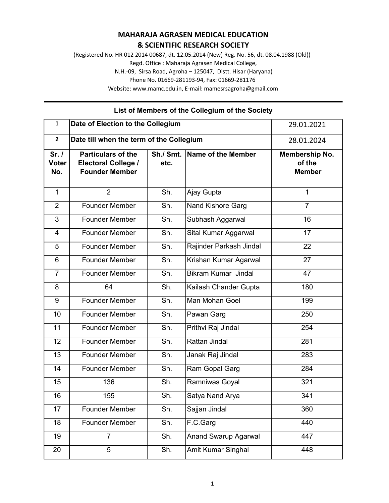## MAHARAJA AGRASEN MEDICAL EDUCATION & SCIENTIFIC RESEARCH SOCIETY

(Registered No. HR 012 2014 00687, dt. 12.05.2014 (New) Reg. No. 56, dt. 08.04.1988 (Old)) Regd. Office : Maharaja Agrasen Medical College, N.H.-09, Sirsa Road, Agroha – 125047, Distt. Hisar (Haryana) Phone No. 01669-281193-94, Fax: 01669-281176 Website: www.mamc.edu.in, E-mail: mamesrsagroha@gmail.com

| $\mathbf{1}$                | Date of Election to the Collegium                                                | 29.01.2021        |                             |                                           |
|-----------------------------|----------------------------------------------------------------------------------|-------------------|-----------------------------|-------------------------------------------|
| $\mathbf{2}$                | Date till when the term of the Collegium                                         | 28.01.2024        |                             |                                           |
| Sr.1<br><b>Voter</b><br>No. | <b>Particulars of the</b><br><b>Electoral College /</b><br><b>Founder Member</b> | Sh./ Smt.<br>etc. | Name of the Member          | Membership No.<br>of the<br><b>Member</b> |
| $\mathbf{1}$                | $\overline{2}$                                                                   | Sh.               | Ajay Gupta                  | $\mathbf{1}$                              |
| $\overline{2}$              | <b>Founder Member</b>                                                            | Sh.               | Nand Kishore Garg           | $\overline{7}$                            |
| 3                           | <b>Founder Member</b>                                                            | Sh.               | Subhash Aggarwal            | 16                                        |
| 4                           | <b>Founder Member</b>                                                            | Sh.               | Sital Kumar Aggarwal        | 17                                        |
| 5                           | <b>Founder Member</b>                                                            | Sh.               | Rajinder Parkash Jindal     | 22                                        |
| 6                           | <b>Founder Member</b>                                                            | Sh.               | Krishan Kumar Agarwal       | 27                                        |
| $\overline{7}$              | <b>Founder Member</b>                                                            | Sh.               | <b>Bikram Kumar Jindal</b>  | 47                                        |
| 8                           | 64                                                                               | Sh.               | Kailash Chander Gupta       | 180                                       |
| 9                           | <b>Founder Member</b>                                                            | Sh.               | Man Mohan Goel              | 199                                       |
| 10                          | <b>Founder Member</b>                                                            | Sh.               | Pawan Garg                  | 250                                       |
| 11                          | <b>Founder Member</b>                                                            | Sh.               | Prithvi Raj Jindal          | 254                                       |
| 12                          | <b>Founder Member</b>                                                            | Sh.               | Rattan Jindal               | 281                                       |
| 13                          | Founder Member                                                                   | Sh.               | Janak Raj Jindal            | 283                                       |
| 14                          | <b>Founder Member</b>                                                            | Sh.               | Ram Gopal Garg              | 284                                       |
| 15                          | 136                                                                              | Sh.               | Ramniwas Goyal              | 321                                       |
| 16                          | 155                                                                              | Sh.               | Satya Nand Arya             | 341                                       |
| 17                          | Founder Member                                                                   | Sh.               | Sajjan Jindal               | 360                                       |
| 18                          | <b>Founder Member</b>                                                            | Sh.               | F.C.Garg                    | 440                                       |
| 19                          | $\overline{7}$                                                                   | Sh.               | <b>Anand Swarup Agarwal</b> | 447                                       |
| 20                          | 5                                                                                | Sh.               | Amit Kumar Singhal          | 448                                       |

## List of Members of the Collegium of the Society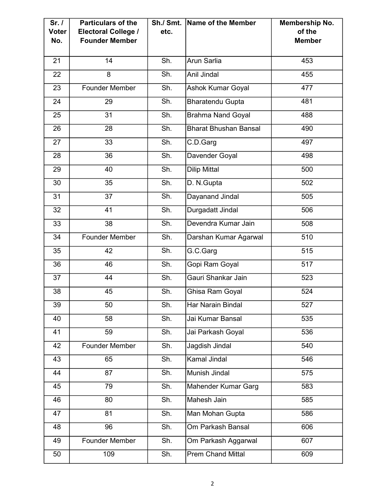| Sr. /<br><b>Voter</b><br>No. | <b>Particulars of the</b><br><b>Electoral College /</b><br><b>Founder Member</b> | Sh./ Smt.<br>etc. | $ $ Name of the Member       | Membership No.<br>of the<br><b>Member</b> |
|------------------------------|----------------------------------------------------------------------------------|-------------------|------------------------------|-------------------------------------------|
| 21                           | 14                                                                               | Sh.               | Arun Sarlia                  | 453                                       |
| 22                           | 8                                                                                | Sh.               | Anil Jindal                  | 455                                       |
| 23                           | <b>Founder Member</b>                                                            | Sh.               | Ashok Kumar Goyal            | 477                                       |
| 24                           | 29                                                                               | Sh.               | <b>Bharatendu Gupta</b>      | 481                                       |
| 25                           | 31                                                                               | Sh.               | <b>Brahma Nand Goyal</b>     | 488                                       |
| 26                           | 28                                                                               | Sh.               | <b>Bharat Bhushan Bansal</b> | 490                                       |
| 27                           | 33                                                                               | Sh.               | C.D.Garg                     | 497                                       |
| 28                           | 36                                                                               | Sh.               | Davender Goyal               | 498                                       |
| 29                           | 40                                                                               | Sh.               | <b>Dilip Mittal</b>          | 500                                       |
| 30                           | 35                                                                               | Sh.               | D. N.Gupta                   | 502                                       |
| 31                           | 37                                                                               | Sh.               | Dayanand Jindal              | 505                                       |
| 32                           | 41                                                                               | Sh.               | Durgadatt Jindal             | 506                                       |
| 33                           | 38                                                                               | Sh.               | Devendra Kumar Jain          | 508                                       |
| 34                           | <b>Founder Member</b>                                                            | Sh.               | Darshan Kumar Agarwal        | 510                                       |
| 35                           | 42                                                                               | Sh.               | G.C.Garg                     | 515                                       |
| 36                           | 46                                                                               | Sh.               | Gopi Ram Goyal               | 517                                       |
| 37                           | 44                                                                               | Sh.               | Gauri Shankar Jain           | 523                                       |
| 38                           | 45                                                                               | Sh.               | Ghisa Ram Goyal              | 524                                       |
| 39                           | 50                                                                               | Sh.               | Har Narain Bindal            | 527                                       |
| 40                           | 58                                                                               | Sh.               | Jai Kumar Bansal             | 535                                       |
| 41                           | 59                                                                               | Sh.               | Jai Parkash Goyal            | 536                                       |
| 42                           | <b>Founder Member</b>                                                            | Sh.               | Jagdish Jindal               | 540                                       |
| 43                           | 65                                                                               | Sh.               | Kamal Jindal                 | 546                                       |
| 44                           | 87                                                                               | Sh.               | Munish Jindal                | 575                                       |
| 45                           | 79                                                                               | Sh.               | Mahender Kumar Garg          | 583                                       |
| 46                           | 80                                                                               | Sh.               | Mahesh Jain                  | 585                                       |
| 47                           | 81                                                                               | Sh.               | Man Mohan Gupta              | 586                                       |
| 48                           | 96                                                                               | Sh.               | Om Parkash Bansal            | 606                                       |
| 49                           | Founder Member                                                                   | Sh.               | Om Parkash Aggarwal          | 607                                       |
| 50                           | 109                                                                              | Sh.               | <b>Prem Chand Mittal</b>     | 609                                       |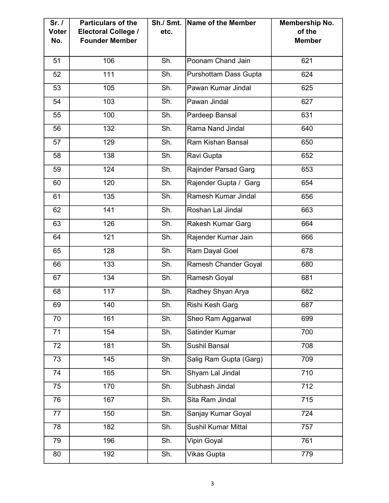| Sr. /<br><b>Voter</b><br>No. | <b>Particulars of the</b><br><b>Electoral College /</b><br><b>Founder Member</b> | Sh./ Smt.<br>etc.          | Name of the Member           | Membership No.<br>of the<br><b>Member</b> |
|------------------------------|----------------------------------------------------------------------------------|----------------------------|------------------------------|-------------------------------------------|
|                              |                                                                                  |                            |                              |                                           |
| 51                           | 106                                                                              | Sh.                        | Poonam Chand Jain            | 621                                       |
| 52                           | 111                                                                              | Sh.                        | <b>Purshottam Dass Gupta</b> | 624                                       |
| 53                           | 105                                                                              | Sh.                        | Pawan Kumar Jindal           | 625                                       |
| 54                           | 103                                                                              | Sh.                        | Pawan Jindal                 | 627                                       |
| 55                           | 100                                                                              | Sh.                        | Pardeep Bansal               | 631                                       |
| 56                           | 132                                                                              | Sh.                        | Rama Nand Jindal             | 640                                       |
| 57                           | 129                                                                              | Sh.                        | Ram Kishan Bansal            | 650                                       |
| 58                           | 138                                                                              | Sh.                        | Ravi Gupta                   | 652                                       |
| 59                           | 124                                                                              | Sh.                        | <b>Rajinder Parsad Garg</b>  | 653                                       |
| 60                           | 120                                                                              | Sh.                        | Rajender Gupta / Garg        | 654                                       |
| 61                           | 135                                                                              | Sh.                        | Ramesh Kumar Jindal          | 656                                       |
| 62                           | 141                                                                              | Sh.                        | Roshan Lal Jindal            | 663                                       |
| 63                           | 126                                                                              | Sh.                        | Rakesh Kumar Garg            | 664                                       |
| 64                           | 121                                                                              | Sh.                        | Rajender Kumar Jain          | 666                                       |
| 65                           | 128                                                                              | Sh.                        | Ram Dayal Goel               | 678                                       |
| 66                           | 133                                                                              | Sh.                        | Ramesh Chander Goyal         | 680                                       |
| 67                           | 134                                                                              | Sh.                        | Ramesh Goyal                 | 681                                       |
| 68                           | 117                                                                              | Sh.                        | Radhey Shyan Arya            | 682                                       |
| 69                           | 140                                                                              | Sh.                        | Rishi Kesh Garg              | 687                                       |
| 70                           | 161                                                                              | Sh.                        | Sheo Ram Aggarwal            | 699                                       |
| $\overline{71}$              | 154                                                                              | Sh.                        | <b>Satinder Kumar</b>        | 700                                       |
| 72                           | 181                                                                              | Sh.                        | Sushil Bansal                | 708                                       |
| 73                           | 145                                                                              | Sh.                        | Salig Ram Gupta (Garg)       | 709                                       |
| 74                           | 165                                                                              | Sh.                        | Shyam Lal Jindal             | 710                                       |
| 75                           | 170                                                                              | Sh.                        | Subhash Jindal               | 712                                       |
| 76                           | 167                                                                              | Sh.                        | Sita Ram Jindal              | 715                                       |
| 77                           | 150                                                                              | Sh.                        | Sanjay Kumar Goyal           | 724                                       |
| 78                           | 182                                                                              | Sh.                        | <b>Sushil Kumar Mittal</b>   | 757                                       |
| 79                           | 196                                                                              | Sh.                        | Vipin Goyal                  | 761                                       |
| 80                           | 192                                                                              | $\overline{\mathsf{Sh}}$ . | <b>Vikas Gupta</b>           | 779                                       |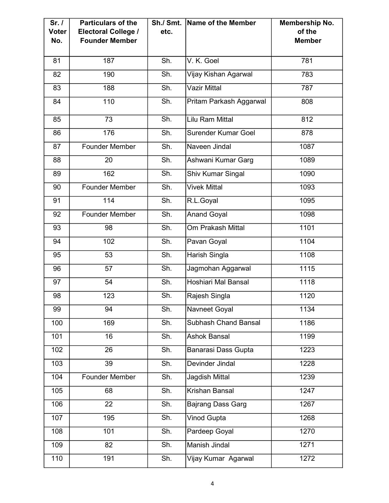| Sr.1<br><b>Voter</b><br>No. | <b>Particulars of the</b><br><b>Electoral College /</b><br><b>Founder Member</b> | Sh./ Smt.<br>etc.          | Name of the Member         | Membership No.<br>of the<br><b>Member</b> |
|-----------------------------|----------------------------------------------------------------------------------|----------------------------|----------------------------|-------------------------------------------|
| 81                          | 187                                                                              | Sh.                        | V. K. Goel                 | 781                                       |
| 82                          | 190                                                                              | Sh.                        | Vijay Kishan Agarwal       | 783                                       |
| 83                          | 188                                                                              | Sh.                        | <b>Vazir Mittal</b>        | 787                                       |
| 84                          | 110                                                                              | Sh.                        | Pritam Parkash Aggarwal    | 808                                       |
| 85                          | 73                                                                               | Sh.                        | Lilu Ram Mittal            | 812                                       |
| 86                          | 176                                                                              | Sh.                        | <b>Surender Kumar Goel</b> | 878                                       |
| 87                          | <b>Founder Member</b>                                                            | Sh.                        | Naveen Jindal              | 1087                                      |
| 88                          | 20                                                                               | Sh.                        | Ashwani Kumar Garg         | 1089                                      |
| 89                          | 162                                                                              | Sh.                        | Shiv Kumar Singal          | 1090                                      |
| 90                          | <b>Founder Member</b>                                                            | Sh.                        | <b>Vivek Mittal</b>        | 1093                                      |
| 91                          | 114                                                                              | Sh.                        | R.L.Goyal                  | 1095                                      |
| 92                          | <b>Founder Member</b>                                                            | Sh.                        | <b>Anand Goyal</b>         | 1098                                      |
| 93                          | 98                                                                               | Sh.                        | Om Prakash Mittal          | 1101                                      |
| 94                          | 102                                                                              | Sh.                        | Pavan Goyal                | 1104                                      |
| 95                          | 53                                                                               | Sh.                        | Harish Singla              | 1108                                      |
| 96                          | 57                                                                               | Sh.                        | Jagmohan Aggarwal          | 1115                                      |
| 97                          | 54                                                                               | Sh.                        | Hoshiari Mal Bansal        | 1118                                      |
| 98                          | 123                                                                              | Sh.                        | Rajesh Singla              | 1120                                      |
| 99                          | 94                                                                               | Sh.                        | Navneet Goyal              | 1134                                      |
| 100                         | 169                                                                              | Sh.                        | Subhash Chand Bansal       | 1186                                      |
| 101                         | 16                                                                               | Sh.                        | <b>Ashok Bansal</b>        | 1199                                      |
| 102                         | 26                                                                               | Sh.                        | <b>Banarasi Dass Gupta</b> | 1223                                      |
| 103                         | 39                                                                               | $\overline{\mathsf{Sh}}$ . | Devinder Jindal            | 1228                                      |
| 104                         | Founder Member                                                                   | Sh.                        | Jagdish Mittal             | 1239                                      |
| 105                         | 68                                                                               | Sh.                        | Krishan Bansal             | 1247                                      |
| 106                         | 22                                                                               | Sh.                        | <b>Bajrang Dass Garg</b>   | 1267                                      |
| 107                         | 195                                                                              | Sh.                        | <b>Vinod Gupta</b>         | 1268                                      |
| 108                         | 101                                                                              | Sh.                        | Pardeep Goyal              | 1270                                      |
| 109                         | 82                                                                               | Sh.                        | Manish Jindal              | 1271                                      |
| 110                         | 191                                                                              | Sh.                        | Vijay Kumar Agarwal        | $\frac{1}{272}$                           |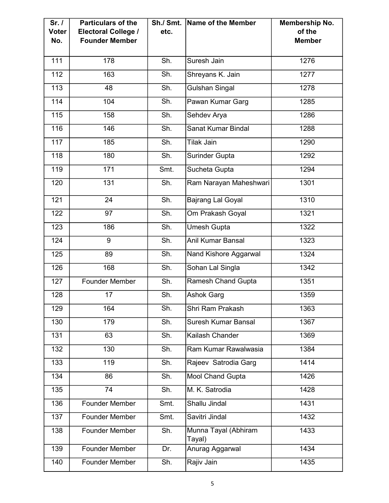| Sr.1<br><b>Voter</b><br>No. | <b>Particulars of the</b><br><b>Electoral College /</b><br><b>Founder Member</b> | Sh./ Smt.<br>etc. | Name of the Member             | <b>Membership No.</b><br>of the<br><b>Member</b> |
|-----------------------------|----------------------------------------------------------------------------------|-------------------|--------------------------------|--------------------------------------------------|
| 111                         | 178                                                                              | Sh.               | Suresh Jain                    | 1276                                             |
| 112                         | 163                                                                              | Sh.               | Shreyans K. Jain               | 1277                                             |
| 113                         | 48                                                                               | Sh.               | <b>Gulshan Singal</b>          | 1278                                             |
| 114                         | 104                                                                              | Sh.               | Pawan Kumar Garg               | 1285                                             |
| 115                         | 158                                                                              | Sh.               | Sehdev Arya                    | 1286                                             |
| 116                         | 146                                                                              | Sh.               | Sanat Kumar Bindal             | 1288                                             |
| 117                         | 185                                                                              | Sh.               | <b>Tilak Jain</b>              | 1290                                             |
| 118                         | 180                                                                              | Sh.               | <b>Surinder Gupta</b>          | 1292                                             |
| 119                         | 171                                                                              | Smt.              | Sucheta Gupta                  | 1294                                             |
| 120                         | 131                                                                              | Sh.               | Ram Narayan Maheshwari         | 1301                                             |
| 121                         | 24                                                                               | Sh.               | <b>Bajrang Lal Goyal</b>       | 1310                                             |
| 122                         | 97                                                                               | Sh.               | Om Prakash Goyal               | 1321                                             |
| 123                         | 186                                                                              | Sh.               | <b>Umesh Gupta</b>             | 1322                                             |
| 124                         | 9                                                                                | Sh.               | Anil Kumar Bansal              | 1323                                             |
| 125                         | 89                                                                               | Sh.               | Nand Kishore Aggarwal          | 1324                                             |
| 126                         | 168                                                                              | Sh.               | Sohan Lal Singla               | 1342                                             |
| 127                         | Founder Member                                                                   | Sh.               | <b>Ramesh Chand Gupta</b>      | 1351                                             |
| 128                         | 17                                                                               | Sh.               | <b>Ashok Garg</b>              | 1359                                             |
| 129                         | 164                                                                              | Sh.               | Shri Ram Prakash               | 1363                                             |
| 130                         | 179                                                                              | Sh.               | <b>Suresh Kumar Bansal</b>     | 1367                                             |
| 131                         | 63                                                                               | Sh.               | Kailash Chander                | 1369                                             |
| 132                         | 130                                                                              | Sh.               | Ram Kumar Rawalwasia           | 1384                                             |
| 133                         | 119                                                                              | Sh.               | Rajeev Satrodia Garg           | 1414                                             |
| 134                         | 86                                                                               | Sh.               | Mool Chand Gupta               | 1426                                             |
| 135                         | 74                                                                               | Sh.               | M. K. Satrodia                 | 1428                                             |
| 136                         | Founder Member                                                                   | Smt.              | Shallu Jindal                  | 1431                                             |
| 137                         | <b>Founder Member</b>                                                            | Smt.              | Savitri Jindal                 | 1432                                             |
| 138                         | Founder Member                                                                   | Sh.               | Munna Tayal (Abhiram<br>Tayal) | 1433                                             |
| 139                         | <b>Founder Member</b>                                                            | Dr.               | Anurag Aggarwal                | 1434                                             |
| 140                         | Founder Member                                                                   | Sh.               | Rajiv Jain                     | 1435                                             |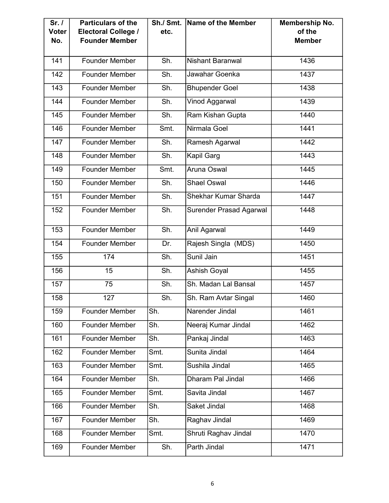| Sr. /<br><b>Voter</b><br>No. | <b>Particulars of the</b><br><b>Electoral College /</b><br><b>Founder Member</b> | Sh./ Smt.<br>etc. | Name of the Member             | <b>Membership No.</b><br>of the<br><b>Member</b> |
|------------------------------|----------------------------------------------------------------------------------|-------------------|--------------------------------|--------------------------------------------------|
| 141                          | <b>Founder Member</b>                                                            | Sh.               | <b>Nishant Baranwal</b>        | 1436                                             |
| 142                          | <b>Founder Member</b>                                                            | Sh.               | Jawahar Goenka                 | 1437                                             |
| 143                          | <b>Founder Member</b>                                                            | Sh.               | <b>Bhupender Goel</b>          | 1438                                             |
| 144                          | <b>Founder Member</b>                                                            | Sh.               | Vinod Aggarwal                 | 1439                                             |
| 145                          | <b>Founder Member</b>                                                            | Sh.               | Ram Kishan Gupta               | 1440                                             |
| 146                          | <b>Founder Member</b>                                                            | Smt.              | Nirmala Goel                   | 1441                                             |
| 147                          | <b>Founder Member</b>                                                            | Sh.               | Ramesh Agarwal                 | 1442                                             |
| 148                          | <b>Founder Member</b>                                                            | Sh.               | Kapil Garg                     | 1443                                             |
| 149                          | <b>Founder Member</b>                                                            | Smt.              | Aruna Oswal                    | 1445                                             |
| 150                          | <b>Founder Member</b>                                                            | Sh.               | <b>Shael Oswal</b>             | 1446                                             |
| 151                          | <b>Founder Member</b>                                                            | Sh.               | Shekhar Kumar Sharda           | 1447                                             |
| 152                          | <b>Founder Member</b>                                                            | Sh.               | <b>Surender Prasad Agarwal</b> | 1448                                             |
| 153                          | <b>Founder Member</b>                                                            | Sh.               | Anil Agarwal                   | 1449                                             |
| 154                          | <b>Founder Member</b>                                                            | Dr.               | Rajesh Singla (MDS)            | 1450                                             |
| 155                          | 174                                                                              | Sh.               | Sunil Jain                     | 1451                                             |
| 156                          | 15                                                                               | Sh.               | <b>Ashish Goyal</b>            | 1455                                             |
| 157                          | 75                                                                               | Sh.               | Sh. Madan Lal Bansal           | 1457                                             |
| 158                          | 127                                                                              | Sh.               | Sh. Ram Avtar Singal           | 1460                                             |
| 159                          | <b>Founder Member</b>                                                            | Sh.               | Narender Jindal                | 1461                                             |
| 160                          | <b>Founder Member</b>                                                            | Sh.               | Neeraj Kumar Jindal            | 1462                                             |
| 161                          | <b>Founder Member</b>                                                            | Sh.               | Pankaj Jindal                  | 1463                                             |
| 162                          | <b>Founder Member</b>                                                            | Smt.              | Sunita Jindal                  | 1464                                             |
| 163                          | <b>Founder Member</b>                                                            | Smt.              | Sushila Jindal                 | 1465                                             |
| 164                          | <b>Founder Member</b>                                                            | Sh.               | Dharam Pal Jindal              | 1466                                             |
| 165                          | <b>Founder Member</b>                                                            | Smt.              | Savita Jindal                  | 1467                                             |
| 166                          | <b>Founder Member</b>                                                            | Sh.               | Saket Jindal                   | 1468                                             |
| 167                          | <b>Founder Member</b>                                                            | Sh.               | Raghav Jindal                  | 1469                                             |
| 168                          | <b>Founder Member</b>                                                            | Smt.              | Shruti Raghav Jindal           | 1470                                             |
| 169                          | <b>Founder Member</b>                                                            | Sh.               | Parth Jindal                   | 1471                                             |